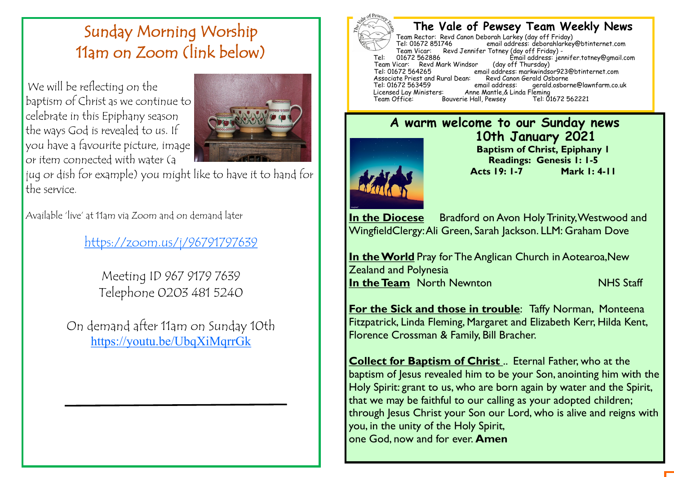# Sunday Morning Worship 11am on Zoom (link below)

We will be reflecting on the baptism of Christ as we continue to celebrate in this Epiphany season the ways God is revealed to us. If you have a favourite picture, image or item connected with water (a



jug or dish for example) you might like to have it to hand for the service.

Available 'live' at 11am via Zoom and on demand later

[https://zoom.us/j/96791797639](mailto:https://zoom.us/j/96791797639)

Meeting ID 967 9179 7639 Telephone 0203 481 5240

On demand after 11am on Sunday 10th <https://youtu.be/UbqXiMqrrGk>



#### **The Vale of Pewsey Team Weekly News**

Team Rector: Revd Canon Deborah Larkey (day off Friday) email address: deborahlarkey@btinternet.com Team Vicar: Revd Jennifer Totney (day off Friday) -<br>01672 562886 Fmail address: ier fimail address: jennifer.totney@gmail.com (day off Thursday) Team Vicar: Revd Mark Windsor<br>Tel: 01672 564265 email address: markwindsor923@btinternet.com<br>Revd Canon Gerald Osborne Associate Priest and Rural Dean: Revd Canon<br>Tel: 01672 563459 email address: Tel: 01672 563459 email address: gerald.osborne@lawnfarm.co.uk Licensed Lay Ministers: Anne Mantle,& Linda Fleming Bouverie Hall, Pewsey

#### **A warm welcome to our Sunday news 10th January 2021 Baptism of Christ, Epiphany 1 Readings: Genesis 1: 1-5 Acts 19: 1-7 Mark 1: 4-11**

**In the Diocese** Bradford on Avon Holy Trinity, Westwood and WingfieldClergy: Ali Green, Sarah Jackson. LLM: Graham Dove

**In the World** Pray for The Anglican Church in Aotearoa, New Zealand and Polynesia **In the Team** North Newnton NHS Staff

**For the Sick and those in trouble: Taffy Norman, Monteena** Fitzpatrick, Linda Fleming, Margaret and Elizabeth Kerr, Hilda Kent, Florence Crossman & Family, Bill Bracher.

**Collect for Baptism of Christ** .. Eternal Father, who at the baptism of Jesus revealed him to be your Son, anointing him with the Holy Spirit: grant to us, who are born again by water and the Spirit, that we may be faithful to our calling as your adopted children; through Jesus Christ your Son our Lord, who is alive and reigns with you, in the unity of the Holy Spirit, one God, now and for ever. **Amen**